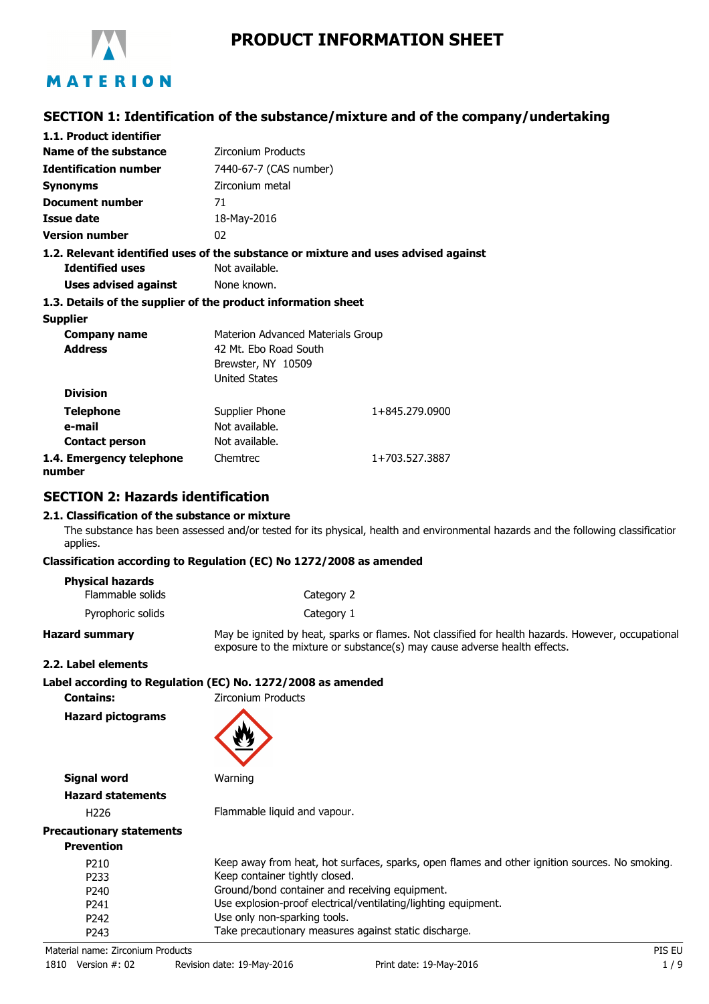

# **PRODUCT INFORMATION SHEET**

# **SECTION 1: Identification of the substance/mixture and of the company/undertaking**

| 1.1. Product identifier                                                            |                                   |                |  |
|------------------------------------------------------------------------------------|-----------------------------------|----------------|--|
| Name of the substance                                                              | <b>Zirconium Products</b>         |                |  |
| <b>Identification number</b>                                                       | 7440-67-7 (CAS number)            |                |  |
| Synonyms                                                                           | Zirconium metal                   |                |  |
| Document number                                                                    | 71                                |                |  |
| <b>Issue date</b>                                                                  | 18-May-2016                       |                |  |
| <b>Version number</b>                                                              | 02                                |                |  |
| 1.2. Relevant identified uses of the substance or mixture and uses advised against |                                   |                |  |
| <b>Identified uses</b>                                                             | Not available.                    |                |  |
| Uses advised against                                                               | None known.                       |                |  |
| 1.3. Details of the supplier of the product information sheet                      |                                   |                |  |
| <b>Supplier</b>                                                                    |                                   |                |  |
| Company name                                                                       | Materion Advanced Materials Group |                |  |
| <b>Address</b>                                                                     | 42 Mt. Ebo Road South             |                |  |
|                                                                                    | Brewster, NY 10509                |                |  |
|                                                                                    | <b>United States</b>              |                |  |
| <b>Division</b>                                                                    |                                   |                |  |
| <b>Telephone</b>                                                                   | Supplier Phone                    | 1+845.279.0900 |  |
| e-mail                                                                             | Not available.                    |                |  |
| <b>Contact person</b>                                                              | Not available.                    |                |  |
| 1.4. Emergency telephone<br>number                                                 | Chemtrec                          | 1+703.527.3887 |  |

# **SECTION 2: Hazards identification**

#### **2.1. Classification of the substance or mixture**

The substance has been assessed and/or tested for its physical, health and environmental hazards and the following classification applies.

#### **Classification according to Regulation (EC) No 1272/2008 as amended**

#### **Physical hazards**

| Flammable solids  | Category 2 |
|-------------------|------------|
| Pyrophoric solids | Category 1 |

**Hazard summary** May be ignited by heat, sparks or flames. Not classified for health hazards. However, occupational exposure to the mixture or substance(s) may cause adverse health effects.

#### **2.2. Label elements**

|                  | Label according to Regulation (EC) No. 1272/2008 as amended |
|------------------|-------------------------------------------------------------|
| <b>Contains:</b> | Zirconium Products                                          |

**Hazard pictograms**



**Signal word** Warning

# **Hazard statements**

H226 Flammable liquid and vapour.

# **Precautionary statements**

| Keep away from heat, hot surfaces, sparks, open flames and other ignition sources. No smoking. |
|------------------------------------------------------------------------------------------------|
| Keep container tightly closed.                                                                 |
| Ground/bond container and receiving equipment.                                                 |
| Use explosion-proof electrical/ventilating/lighting equipment.                                 |
| Use only non-sparking tools.                                                                   |
| Take precautionary measures against static discharge.                                          |
|                                                                                                |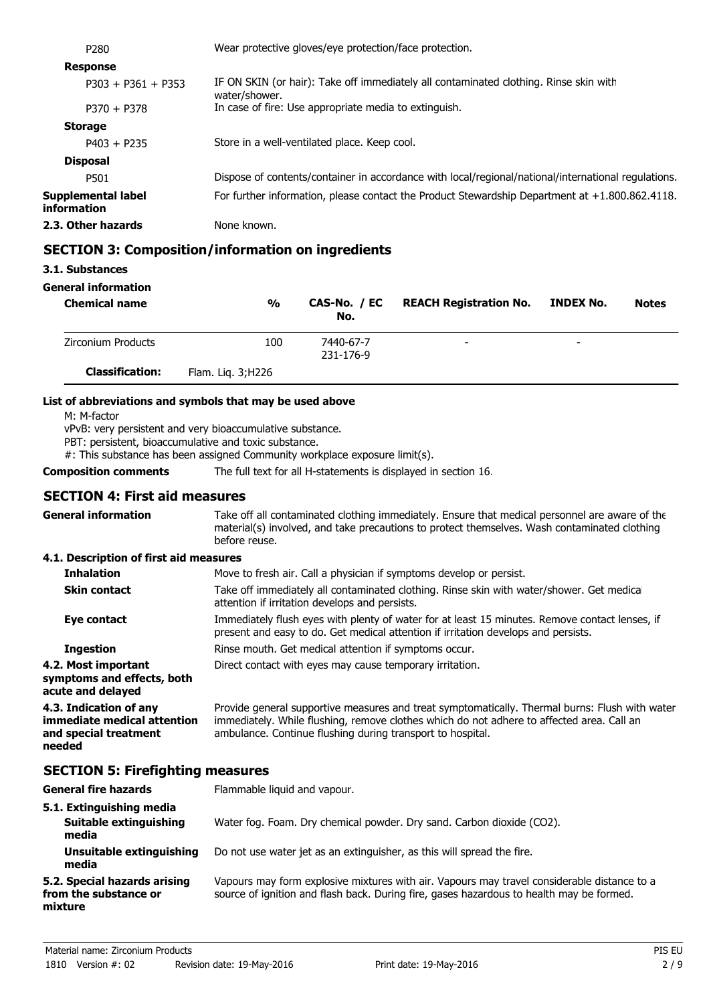| P <sub>280</sub>                  | Wear protective gloves/eye protection/face protection.                                                 |  |  |
|-----------------------------------|--------------------------------------------------------------------------------------------------------|--|--|
| <b>Response</b>                   |                                                                                                        |  |  |
| $P303 + P361 + P353$              | IF ON SKIN (or hair): Take off immediately all contaminated clothing. Rinse skin with<br>water/shower. |  |  |
| $P370 + P378$                     | In case of fire: Use appropriate media to extinguish.                                                  |  |  |
| <b>Storage</b>                    |                                                                                                        |  |  |
| $P403 + P235$                     | Store in a well-ventilated place. Keep cool.                                                           |  |  |
| <b>Disposal</b>                   |                                                                                                        |  |  |
| P501                              | Dispose of contents/container in accordance with local/regional/national/international regulations.    |  |  |
| Supplemental label<br>information | For further information, please contact the Product Stewardship Department at $+1.800.862.4118$ .      |  |  |
| 2.3. Other hazards                | None known.                                                                                            |  |  |
|                                   |                                                                                                        |  |  |

# **SECTION 3: Composition/information on ingredients**

# **3.1. Substances**

#### **General information**

| <b>Chemical name</b>   | $\frac{0}{0}$      | CAS-No. / EC<br>No.    | <b>REACH Registration No.</b> | <b>INDEX No.</b> | <b>Notes</b> |
|------------------------|--------------------|------------------------|-------------------------------|------------------|--------------|
| Zirconium Products     | 100                | 7440-67-7<br>231-176-9 | $\overline{\phantom{0}}$      | -                |              |
| <b>Classification:</b> | Flam. Lig. 3; H226 |                        |                               |                  |              |

#### **List of abbreviations and symbols that may be used above**

M: M-factor

vPvB: very persistent and very bioaccumulative substance.

PBT: persistent, bioaccumulative and toxic substance.

#: This substance has been assigned Community workplace exposure limit(s).

**Composition comments** The full text for all H-statements is displayed in section 16.

# **SECTION 4: First aid measures**

| <b>General information</b>                                                               | Take off all contaminated clothing immediately. Ensure that medical personnel are aware of the<br>material(s) involved, and take precautions to protect themselves. Wash contaminated clothing<br>before reuse.                                           |
|------------------------------------------------------------------------------------------|-----------------------------------------------------------------------------------------------------------------------------------------------------------------------------------------------------------------------------------------------------------|
| 4.1. Description of first aid measures                                                   |                                                                                                                                                                                                                                                           |
| <b>Inhalation</b>                                                                        | Move to fresh air. Call a physician if symptoms develop or persist.                                                                                                                                                                                       |
| <b>Skin contact</b>                                                                      | Take off immediately all contaminated clothing. Rinse skin with water/shower. Get medical<br>attention if irritation develops and persists.                                                                                                               |
| Eye contact                                                                              | Immediately flush eyes with plenty of water for at least 15 minutes. Remove contact lenses, if<br>present and easy to do. Get medical attention if irritation develops and persists.                                                                      |
| <b>Ingestion</b>                                                                         | Rinse mouth. Get medical attention if symptoms occur.                                                                                                                                                                                                     |
| 4.2. Most important<br>symptoms and effects, both<br>acute and delayed                   | Direct contact with eyes may cause temporary irritation.                                                                                                                                                                                                  |
| 4.3. Indication of any<br>immediate medical attention<br>and special treatment<br>needed | Provide general supportive measures and treat symptomatically. Thermal burns: Flush with water<br>immediately. While flushing, remove clothes which do not adhere to affected area. Call an<br>ambulance. Continue flushing during transport to hospital. |
| <b>SECTION 5: Firefighting measures</b>                                                  |                                                                                                                                                                                                                                                           |
| <b>General fire hazards</b>                                                              | Flammable liquid and vapour.                                                                                                                                                                                                                              |
| 5.1. Extinguishing media<br><b>Suitable extinguishing</b><br>media                       | Water fog. Foam. Dry chemical powder. Dry sand. Carbon dioxide (CO2).                                                                                                                                                                                     |
| Unsuitable extinguishing<br>media                                                        | Do not use water jet as an extinguisher, as this will spread the fire.                                                                                                                                                                                    |

#### Vapours may form explosive mixtures with air. Vapours may travel considerable distance to a source of ignition and flash back. During fire, gases hazardous to health may be formed. **5.2. Special hazards arising from the substance or mixture**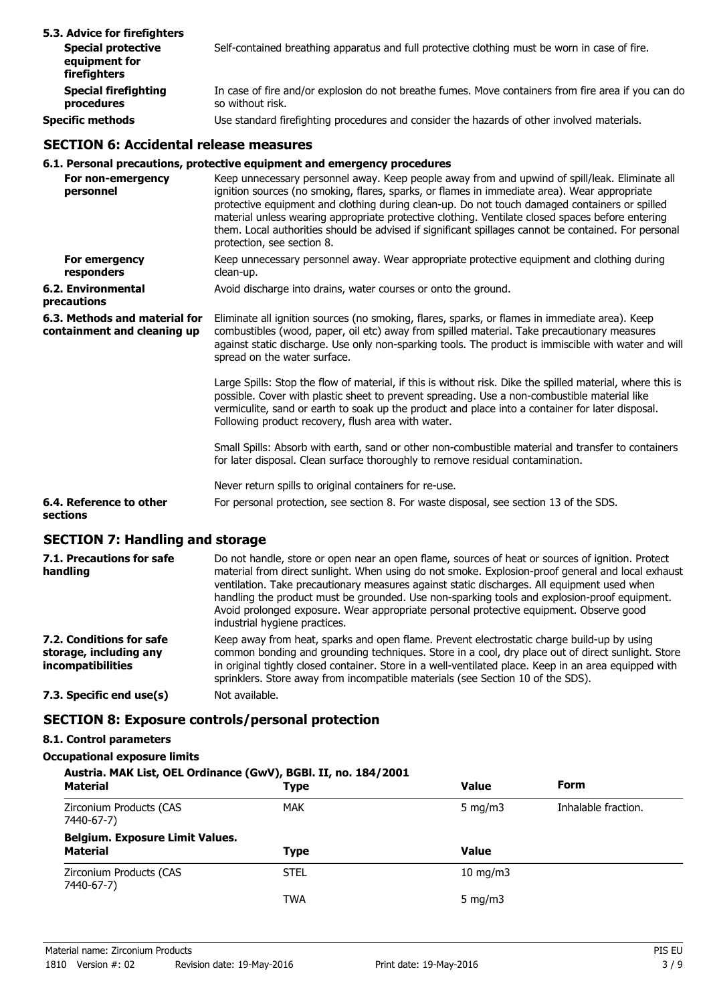| 5.3. Advice for firefighters<br><b>Special protective</b><br>equipment for<br>firefighters | Self-contained breathing apparatus and full protective clothing must be worn in case of fire.                           |
|--------------------------------------------------------------------------------------------|-------------------------------------------------------------------------------------------------------------------------|
| <b>Special firefighting</b><br>procedures                                                  | In case of fire and/or explosion do not breathe fumes. Move containers from fire area if you can do<br>so without risk. |
| Specific methods                                                                           | Use standard firefighting procedures and consider the hazards of other involved materials.                              |

### **SECTION 6: Accidental release measures**

# **6.1. Personal precautions, protective equipment and emergency procedures**

|                                                              | v.1. reisviigi precautiviis, protective equipment and emergency procedures                                                                                                                                                                                                                                                                                                                                                                                                                                                                |
|--------------------------------------------------------------|-------------------------------------------------------------------------------------------------------------------------------------------------------------------------------------------------------------------------------------------------------------------------------------------------------------------------------------------------------------------------------------------------------------------------------------------------------------------------------------------------------------------------------------------|
| For non-emergency<br>personnel                               | Keep unnecessary personnel away. Keep people away from and upwind of spill/leak. Eliminate all<br>ignition sources (no smoking, flares, sparks, or flames in immediate area). Wear appropriate<br>protective equipment and clothing during clean-up. Do not touch damaged containers or spilled<br>material unless wearing appropriate protective clothing. Ventilate closed spaces before entering<br>them. Local authorities should be advised if significant spillages cannot be contained. For personal<br>protection, see section 8. |
| For emergency<br>responders                                  | Keep unnecessary personnel away. Wear appropriate protective equipment and clothing during<br>clean-up.                                                                                                                                                                                                                                                                                                                                                                                                                                   |
| 6.2. Environmental<br>precautions                            | Avoid discharge into drains, water courses or onto the ground.                                                                                                                                                                                                                                                                                                                                                                                                                                                                            |
| 6.3. Methods and material for<br>containment and cleaning up | Eliminate all ignition sources (no smoking, flares, sparks, or flames in immediate area). Keep<br>combustibles (wood, paper, oil etc) away from spilled material. Take precautionary measures<br>against static discharge. Use only non-sparking tools. The product is immiscible with water and will<br>spread on the water surface.                                                                                                                                                                                                     |
|                                                              | Large Spills: Stop the flow of material, if this is without risk. Dike the spilled material, where this is<br>possible. Cover with plastic sheet to prevent spreading. Use a non-combustible material like<br>vermiculite, sand or earth to soak up the product and place into a container for later disposal.<br>Following product recovery, flush area with water.                                                                                                                                                                      |
|                                                              | Small Spills: Absorb with earth, sand or other non-combustible material and transfer to containers<br>for later disposal. Clean surface thoroughly to remove residual contamination.                                                                                                                                                                                                                                                                                                                                                      |
|                                                              | Never return spills to original containers for re-use.                                                                                                                                                                                                                                                                                                                                                                                                                                                                                    |
| 6.4. Reference to other<br>sections                          | For personal protection, see section 8. For waste disposal, see section 13 of the SDS.                                                                                                                                                                                                                                                                                                                                                                                                                                                    |
|                                                              |                                                                                                                                                                                                                                                                                                                                                                                                                                                                                                                                           |

# **SECTION 7: Handling and storage**

| 7.1. Precautions for safe<br>handling                                          | Do not handle, store or open near an open flame, sources of heat or sources of ignition. Protect<br>material from direct sunlight. When using do not smoke. Explosion-proof general and local exhaust<br>ventilation. Take precautionary measures against static discharges. All equipment used when<br>handling the product must be grounded. Use non-sparking tools and explosion-proof equipment.<br>Avoid prolonged exposure. Wear appropriate personal protective equipment. Observe good<br>industrial hygiene practices. |
|--------------------------------------------------------------------------------|---------------------------------------------------------------------------------------------------------------------------------------------------------------------------------------------------------------------------------------------------------------------------------------------------------------------------------------------------------------------------------------------------------------------------------------------------------------------------------------------------------------------------------|
| 7.2. Conditions for safe<br>storage, including any<br><i>incompatibilities</i> | Keep away from heat, sparks and open flame. Prevent electrostatic charge build-up by using<br>common bonding and grounding techniques. Store in a cool, dry place out of direct sunlight. Store<br>in original tightly closed container. Store in a well-ventilated place. Keep in an area equipped with<br>sprinklers. Store away from incompatible materials (see Section 10 of the SDS).                                                                                                                                     |
| 7.3. Specific end use(s)                                                       | Not available.                                                                                                                                                                                                                                                                                                                                                                                                                                                                                                                  |

# **SECTION 8: Exposure controls/personal protection**

# **8.1. Control parameters**

#### **Occupational exposure limits**

| Austria. MAK List, OEL Ordinance (GwV), BGBI. II, no. 184/2001 |             |                   |                     |  |
|----------------------------------------------------------------|-------------|-------------------|---------------------|--|
| <b>Material</b>                                                | <b>Type</b> | <b>Value</b>      | Form                |  |
| Zirconium Products (CAS<br>7440-67-7)                          | <b>MAK</b>  | 5 mg/m $3$        | Inhalable fraction. |  |
| <b>Belgium. Exposure Limit Values.</b><br><b>Material</b>      | <b>Type</b> | <b>Value</b>      |                     |  |
| Zirconium Products (CAS<br>7440-67-7)                          | <b>STEL</b> | $10 \text{ mg/m}$ |                     |  |
|                                                                | <b>TWA</b>  | 5 mg/m $3$        |                     |  |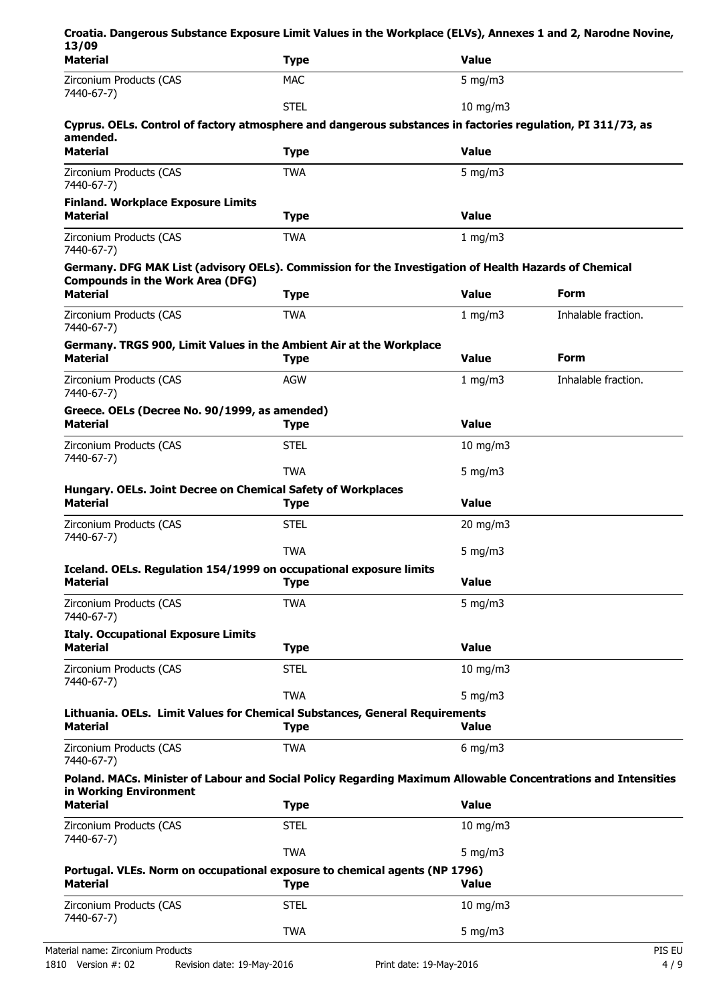| Croatia. Dangerous Substance Exposure Limit Values in the Workplace (ELVs), Annexes 1 and 2, Narodne Novine,<br>13/09                   |             |                   |                     |
|-----------------------------------------------------------------------------------------------------------------------------------------|-------------|-------------------|---------------------|
| <b>Material</b>                                                                                                                         | <b>Type</b> | <b>Value</b>      |                     |
| Zirconium Products (CAS<br>7440-67-7)                                                                                                   | <b>MAC</b>  | 5 mg/m $3$        |                     |
|                                                                                                                                         | <b>STEL</b> | $10 \text{ mg/m}$ |                     |
| Cyprus. OELs. Control of factory atmosphere and dangerous substances in factories regulation, PI 311/73, as<br>amended.                 |             |                   |                     |
| <b>Material</b>                                                                                                                         | <b>Type</b> | <b>Value</b>      |                     |
| Zirconium Products (CAS<br>7440-67-7)                                                                                                   | <b>TWA</b>  | $5$ mg/m $3$      |                     |
| <b>Finland. Workplace Exposure Limits</b><br><b>Material</b>                                                                            | <b>Type</b> | <b>Value</b>      |                     |
| Zirconium Products (CAS<br>7440-67-7)                                                                                                   | <b>TWA</b>  | 1 mg/m3           |                     |
| Germany. DFG MAK List (advisory OELs). Commission for the Investigation of Health Hazards of Chemical                                   |             |                   |                     |
| <b>Compounds in the Work Area (DFG)</b><br><b>Material</b>                                                                              | <b>Type</b> | <b>Value</b>      | <b>Form</b>         |
| Zirconium Products (CAS<br>7440-67-7)                                                                                                   | <b>TWA</b>  | 1 mg/m3           | Inhalable fraction. |
| Germany. TRGS 900, Limit Values in the Ambient Air at the Workplace<br><b>Material</b>                                                  | <b>Type</b> | <b>Value</b>      | <b>Form</b>         |
| Zirconium Products (CAS<br>7440-67-7)                                                                                                   | <b>AGW</b>  | 1 mg/m3           | Inhalable fraction. |
| Greece. OELs (Decree No. 90/1999, as amended)<br><b>Material</b>                                                                        | <b>Type</b> | <b>Value</b>      |                     |
| Zirconium Products (CAS<br>7440-67-7)                                                                                                   | <b>STEL</b> | $10$ mg/m $3$     |                     |
|                                                                                                                                         | <b>TWA</b>  | 5 mg/m $3$        |                     |
| Hungary. OELs. Joint Decree on Chemical Safety of Workplaces<br><b>Material</b>                                                         | <b>Type</b> | <b>Value</b>      |                     |
| Zirconium Products (CAS<br>7440-67-7)                                                                                                   | <b>STEL</b> | $20$ mg/m $3$     |                     |
|                                                                                                                                         | <b>TWA</b>  | 5 mg/m $3$        |                     |
| Iceland. OELs. Regulation 154/1999 on occupational exposure limits<br><b>Material</b>                                                   | <b>Type</b> | <b>Value</b>      |                     |
| Zirconium Products (CAS<br>7440-67-7)                                                                                                   | <b>TWA</b>  | 5 mg/m $3$        |                     |
| <b>Italy. Occupational Exposure Limits</b><br><b>Material</b>                                                                           | <b>Type</b> | <b>Value</b>      |                     |
| Zirconium Products (CAS                                                                                                                 | <b>STEL</b> | $10$ mg/m $3$     |                     |
| 7440-67-7)                                                                                                                              |             |                   |                     |
|                                                                                                                                         | <b>TWA</b>  | 5 mg/m $3$        |                     |
| Lithuania. OELs. Limit Values for Chemical Substances, General Requirements<br><b>Material</b>                                          | <b>Type</b> | <b>Value</b>      |                     |
| Zirconium Products (CAS<br>7440-67-7)                                                                                                   | <b>TWA</b>  | $6$ mg/m $3$      |                     |
| Poland. MACs. Minister of Labour and Social Policy Regarding Maximum Allowable Concentrations and Intensities<br>in Working Environment |             |                   |                     |
| <b>Material</b>                                                                                                                         | <b>Type</b> | <b>Value</b>      |                     |
| Zirconium Products (CAS<br>7440-67-7)                                                                                                   | <b>STEL</b> | 10 mg/m $3$       |                     |
|                                                                                                                                         | <b>TWA</b>  | 5 mg/m $3$        |                     |
| Portugal. VLEs. Norm on occupational exposure to chemical agents (NP 1796)<br><b>Material</b>                                           | <b>Type</b> | Value             |                     |
| Zirconium Products (CAS<br>7440-67-7)                                                                                                   | <b>STEL</b> | $10$ mg/m $3$     |                     |
|                                                                                                                                         | <b>TWA</b>  | $5$ mg/m $3$      |                     |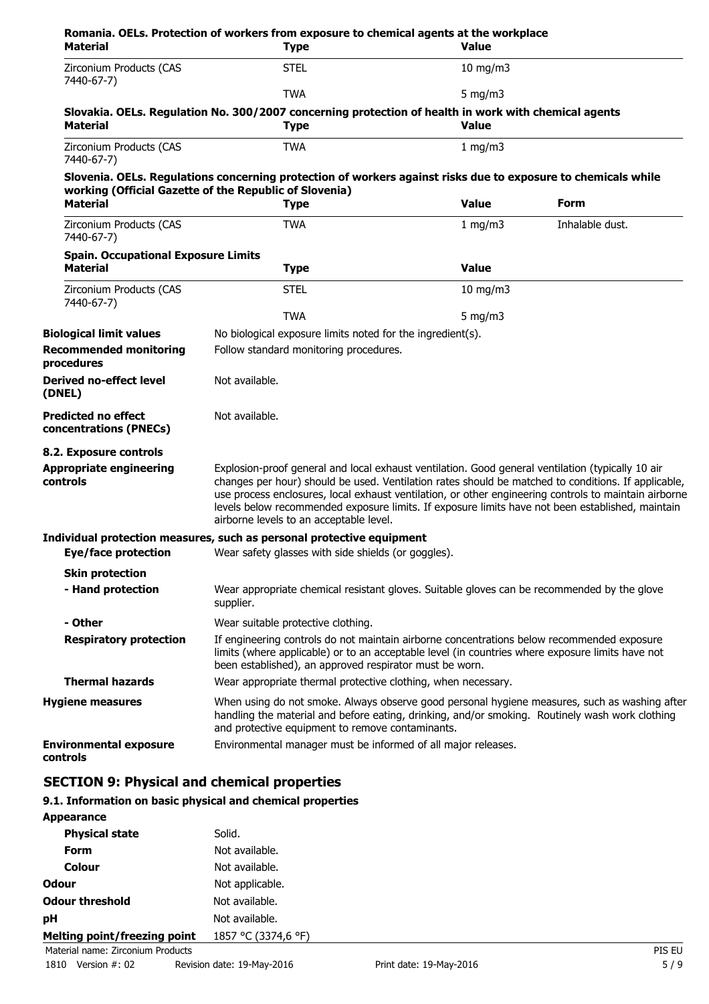| <b>Material</b>                                      | Romania. OELs. Protection of workers from exposure to chemical agents at the workplace<br><b>Type</b>                                                                                                                                                                                                                                                                                                                                                            | Value         |                 |
|------------------------------------------------------|------------------------------------------------------------------------------------------------------------------------------------------------------------------------------------------------------------------------------------------------------------------------------------------------------------------------------------------------------------------------------------------------------------------------------------------------------------------|---------------|-----------------|
| Zirconium Products (CAS<br>7440-67-7)                | <b>STEL</b>                                                                                                                                                                                                                                                                                                                                                                                                                                                      | $10$ mg/m $3$ |                 |
|                                                      | <b>TWA</b>                                                                                                                                                                                                                                                                                                                                                                                                                                                       | 5 mg/m $3$    |                 |
| <b>Material</b>                                      | Slovakia. OELs. Regulation No. 300/2007 concerning protection of health in work with chemical agents<br><b>Type</b>                                                                                                                                                                                                                                                                                                                                              | <b>Value</b>  |                 |
| Zirconium Products (CAS<br>7440-67-7)                | <b>TWA</b>                                                                                                                                                                                                                                                                                                                                                                                                                                                       | 1 mg/m $3$    |                 |
|                                                      | Slovenia. OELs. Regulations concerning protection of workers against risks due to exposure to chemicals while<br>working (Official Gazette of the Republic of Slovenia)                                                                                                                                                                                                                                                                                          |               |                 |
| <b>Material</b>                                      | <b>Type</b>                                                                                                                                                                                                                                                                                                                                                                                                                                                      | <b>Value</b>  | Form            |
| Zirconium Products (CAS<br>7440-67-7)                | <b>TWA</b>                                                                                                                                                                                                                                                                                                                                                                                                                                                       | 1 mg/m $3$    | Inhalable dust. |
| <b>Spain. Occupational Exposure Limits</b>           |                                                                                                                                                                                                                                                                                                                                                                                                                                                                  |               |                 |
| <b>Material</b>                                      | <b>Type</b>                                                                                                                                                                                                                                                                                                                                                                                                                                                      | <b>Value</b>  |                 |
| Zirconium Products (CAS<br>7440-67-7)                | <b>STEL</b>                                                                                                                                                                                                                                                                                                                                                                                                                                                      | $10$ mg/m $3$ |                 |
|                                                      | <b>TWA</b>                                                                                                                                                                                                                                                                                                                                                                                                                                                       | 5 mg/m $3$    |                 |
| <b>Biological limit values</b>                       | No biological exposure limits noted for the ingredient(s).                                                                                                                                                                                                                                                                                                                                                                                                       |               |                 |
| <b>Recommended monitoring</b><br>procedures          | Follow standard monitoring procedures.                                                                                                                                                                                                                                                                                                                                                                                                                           |               |                 |
| <b>Derived no-effect level</b><br>(DNEL)             | Not available.                                                                                                                                                                                                                                                                                                                                                                                                                                                   |               |                 |
| <b>Predicted no effect</b><br>concentrations (PNECs) | Not available.                                                                                                                                                                                                                                                                                                                                                                                                                                                   |               |                 |
| 8.2. Exposure controls                               |                                                                                                                                                                                                                                                                                                                                                                                                                                                                  |               |                 |
| <b>Appropriate engineering</b><br>controls           | Explosion-proof general and local exhaust ventilation. Good general ventilation (typically 10 air<br>changes per hour) should be used. Ventilation rates should be matched to conditions. If applicable,<br>use process enclosures, local exhaust ventilation, or other engineering controls to maintain airborne<br>levels below recommended exposure limits. If exposure limits have not been established, maintain<br>airborne levels to an acceptable level. |               |                 |
|                                                      | Individual protection measures, such as personal protective equipment                                                                                                                                                                                                                                                                                                                                                                                            |               |                 |
| <b>Eye/face protection</b>                           | Wear safety glasses with side shields (or goggles).                                                                                                                                                                                                                                                                                                                                                                                                              |               |                 |
| <b>Skin protection</b>                               |                                                                                                                                                                                                                                                                                                                                                                                                                                                                  |               |                 |
| - Hand protection                                    | Wear appropriate chemical resistant gloves. Suitable gloves can be recommended by the glove<br>supplier.                                                                                                                                                                                                                                                                                                                                                         |               |                 |
| - Other                                              | Wear suitable protective clothing.                                                                                                                                                                                                                                                                                                                                                                                                                               |               |                 |
| <b>Respiratory protection</b>                        | If engineering controls do not maintain airborne concentrations below recommended exposure<br>limits (where applicable) or to an acceptable level (in countries where exposure limits have not<br>been established), an approved respirator must be worn.                                                                                                                                                                                                        |               |                 |
| <b>Thermal hazards</b>                               | Wear appropriate thermal protective clothing, when necessary.                                                                                                                                                                                                                                                                                                                                                                                                    |               |                 |
| <b>Hygiene measures</b>                              | When using do not smoke. Always observe good personal hygiene measures, such as washing after<br>handling the material and before eating, drinking, and/or smoking. Routinely wash work clothing<br>and protective equipment to remove contaminants.                                                                                                                                                                                                             |               |                 |
| <b>Environmental exposure</b><br>controls            | Environmental manager must be informed of all major releases.                                                                                                                                                                                                                                                                                                                                                                                                    |               |                 |

# **SECTION 9: Physical and chemical properties**

# **9.1. Information on basic physical and chemical properties**

| <b>Appearance</b>                 |                     |        |
|-----------------------------------|---------------------|--------|
| <b>Physical state</b>             | Solid.              |        |
| <b>Form</b>                       | Not available.      |        |
| <b>Colour</b>                     | Not available.      |        |
| <b>Odour</b>                      | Not applicable.     |        |
| <b>Odour threshold</b>            | Not available.      |        |
| pH                                | Not available.      |        |
| Melting point/freezing point      | 1857 °C (3374,6 °F) |        |
| Material name: Zirconium Products |                     | PIS EU |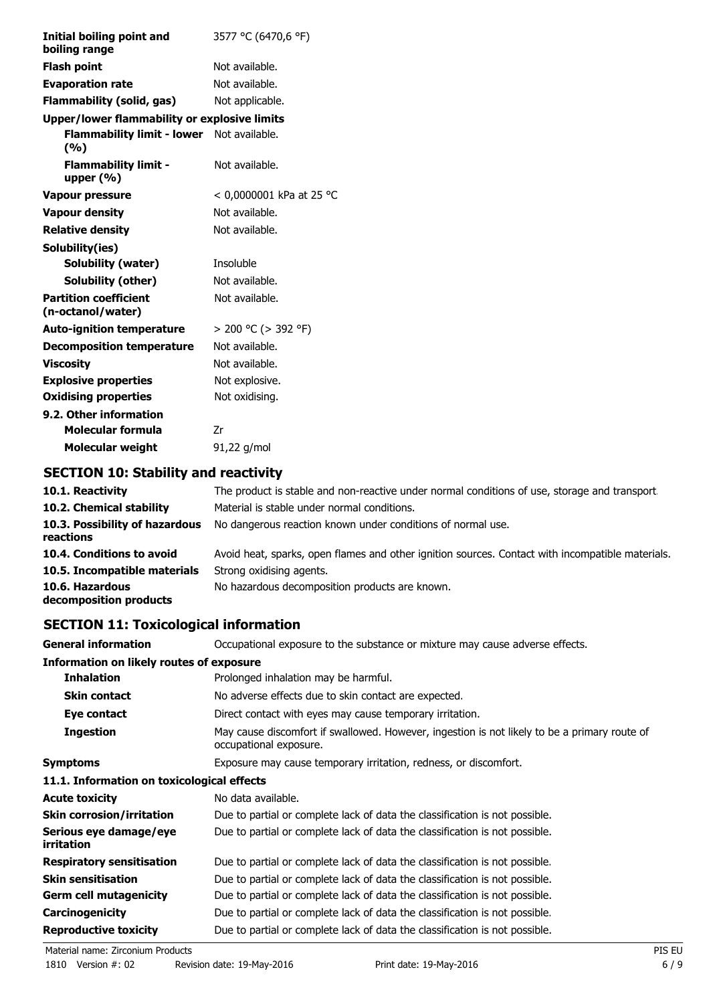| <b>Initial boiling point and</b><br>boiling range | 3577 °C (6470,6 °F)      |
|---------------------------------------------------|--------------------------|
| <b>Flash point</b>                                | Not available.           |
| <b>Evaporation rate</b>                           | Not available.           |
| Flammability (solid, gas)                         | Not applicable.          |
| Upper/lower flammability or explosive limits      |                          |
| Flammability limit - lower Not available.<br>(%)  |                          |
| <b>Flammability limit -</b><br>upper $(% )$       | Not available.           |
| <b>Vapour pressure</b>                            | < 0,0000001 kPa at 25 °C |
| <b>Vapour density</b>                             | Not available.           |
| <b>Relative density</b>                           | Not available.           |
| Solubility(ies)                                   |                          |
| Solubility (water)                                | <b>Insoluble</b>         |
| Solubility (other)                                | Not available.           |
| <b>Partition coefficient</b><br>(n-octanol/water) | Not available.           |
| <b>Auto-ignition temperature</b>                  | $> 200$ °C ( $> 392$ °F) |
| <b>Decomposition temperature</b>                  | Not available.           |
| Viscosity                                         | Not available.           |
| <b>Explosive properties</b>                       | Not explosive.           |
| <b>Oxidising properties</b>                       | Not oxidising.           |
| 9.2. Other information                            |                          |
| Molecular formula                                 | Zr                       |
| Molecular weight                                  | 91,22 g/mol              |

# **SECTION 10: Stability and reactivity**

| 10.1. Reactivity                            | The product is stable and non-reactive under normal conditions of use, storage and transport.    |
|---------------------------------------------|--------------------------------------------------------------------------------------------------|
| 10.2. Chemical stability                    | Material is stable under normal conditions.                                                      |
| 10.3. Possibility of hazardous<br>reactions | No dangerous reaction known under conditions of normal use.                                      |
| 10.4. Conditions to avoid                   | Avoid heat, sparks, open flames and other ignition sources. Contact with incompatible materials. |
| 10.5. Incompatible materials                | Strong oxidising agents.                                                                         |
| 10.6. Hazardous<br>decomposition products   | No hazardous decomposition products are known.                                                   |

# **SECTION 11: Toxicological information**

**General information CCCUPATION** Occupational exposure to the substance or mixture may cause adverse effects.

| <b>Information on likely routes of exposure</b> |                                                                                                                        |
|-------------------------------------------------|------------------------------------------------------------------------------------------------------------------------|
| <b>Inhalation</b>                               | Prolonged inhalation may be harmful.                                                                                   |
| <b>Skin contact</b>                             | No adverse effects due to skin contact are expected.                                                                   |
| Eye contact                                     | Direct contact with eyes may cause temporary irritation.                                                               |
| <b>Ingestion</b>                                | May cause discomfort if swallowed. However, ingestion is not likely to be a primary route of<br>occupational exposure. |
| <b>Symptoms</b>                                 | Exposure may cause temporary irritation, redness, or discomfort.                                                       |
| 11.1. Information on toxicological effects      |                                                                                                                        |
| <b>Acute toxicity</b>                           | No data available.                                                                                                     |
| <b>Skin corrosion/irritation</b>                | Due to partial or complete lack of data the classification is not possible.                                            |
| Serious eye damage/eye<br>irritation            | Due to partial or complete lack of data the classification is not possible.                                            |
| <b>Respiratory sensitisation</b>                | Due to partial or complete lack of data the classification is not possible.                                            |
| <b>Skin sensitisation</b>                       | Due to partial or complete lack of data the classification is not possible.                                            |
| <b>Germ cell mutagenicity</b>                   | Due to partial or complete lack of data the classification is not possible.                                            |
| <b>Carcinogenicity</b>                          | Due to partial or complete lack of data the classification is not possible.                                            |
| <b>Reproductive toxicity</b>                    | Due to partial or complete lack of data the classification is not possible.                                            |
|                                                 |                                                                                                                        |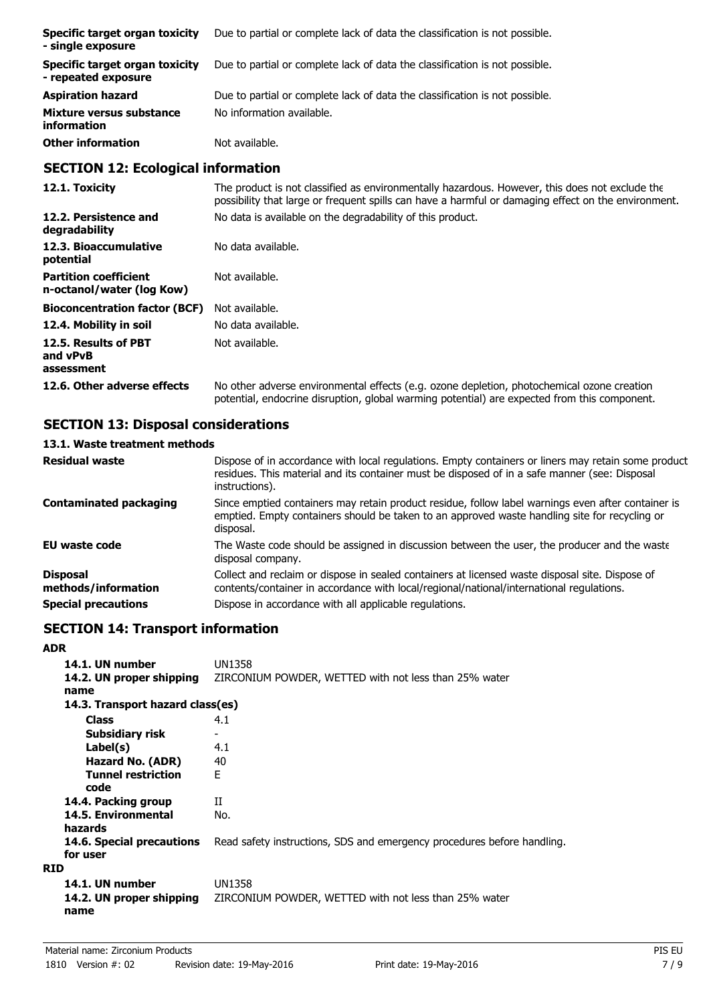| Specific target organ toxicity<br>- single exposure   | Due to partial or complete lack of data the classification is not possible. |
|-------------------------------------------------------|-----------------------------------------------------------------------------|
| Specific target organ toxicity<br>- repeated exposure | Due to partial or complete lack of data the classification is not possible. |
| <b>Aspiration hazard</b>                              | Due to partial or complete lack of data the classification is not possible. |
| Mixture versus substance<br>information               | No information available.                                                   |
| <b>Other information</b>                              | Not available.                                                              |

# **SECTION 12: Ecological information**

| 12.1. Toxicity                                            | The product is not classified as environmentally hazardous. However, this does not exclude the<br>possibility that large or frequent spills can have a harmful or damaging effect on the environment. |
|-----------------------------------------------------------|-------------------------------------------------------------------------------------------------------------------------------------------------------------------------------------------------------|
| 12.2. Persistence and<br>degradability                    | No data is available on the degradability of this product.                                                                                                                                            |
| 12.3. Bioaccumulative<br>potential                        | No data available.                                                                                                                                                                                    |
| <b>Partition coefficient</b><br>n-octanol/water (log Kow) | Not available.                                                                                                                                                                                        |
| <b>Bioconcentration factor (BCF)</b>                      | Not available.                                                                                                                                                                                        |
| 12.4. Mobility in soil                                    | No data available.                                                                                                                                                                                    |
| 12.5. Results of PBT<br>and vPvB<br>assessment            | Not available.                                                                                                                                                                                        |
| 12.6. Other adverse effects                               | No other adverse environmental effects (e.g. ozone depletion, photochemical ozone creation<br>potential, endocrine disruption, global warming potential) are expected from this component.            |

# **SECTION 13: Disposal considerations**

# **13.1. Waste treatment methods**

| <b>Residual waste</b>                  | Dispose of in accordance with local regulations. Empty containers or liners may retain some product<br>residues. This material and its container must be disposed of in a safe manner (see: Disposal<br>instructions). |
|----------------------------------------|------------------------------------------------------------------------------------------------------------------------------------------------------------------------------------------------------------------------|
| <b>Contaminated packaging</b>          | Since emptied containers may retain product residue, follow label warnings even after container is<br>emptied. Empty containers should be taken to an approved waste handling site for recycling or<br>disposal.       |
| EU waste code                          | The Waste code should be assigned in discussion between the user, the producer and the waste<br>disposal company.                                                                                                      |
| <b>Disposal</b><br>methods/information | Collect and reclaim or dispose in sealed containers at licensed waste disposal site. Dispose of<br>contents/container in accordance with local/regional/national/international regulations.                            |
| <b>Special precautions</b>             | Dispose in accordance with all applicable regulations.                                                                                                                                                                 |

# **SECTION 14: Transport information**

# **ADR**

| 14.1. UN number<br>14.2. UN proper shipping<br>name | UN1358<br>ZIRCONIUM POWDER, WETTED with not less than 25% water         |
|-----------------------------------------------------|-------------------------------------------------------------------------|
| 14.3. Transport hazard class(es)                    |                                                                         |
| <b>Class</b>                                        | 4.1                                                                     |
| Subsidiary risk                                     |                                                                         |
| Label(s)                                            | 4.1                                                                     |
| Hazard No. (ADR)                                    | 40                                                                      |
| <b>Tunnel restriction</b><br>code                   | F                                                                       |
| 14.4. Packing group                                 | Н                                                                       |
| 14.5. Environmental<br>hazards                      | No.                                                                     |
| <b>14.6. Special precautions</b><br>for user        | Read safety instructions, SDS and emergency procedures before handling. |
| <b>RID</b>                                          |                                                                         |
| 14.1. UN number<br>14.2. UN proper shipping<br>name | UN1358<br>ZIRCONIUM POWDER, WETTED with not less than 25% water         |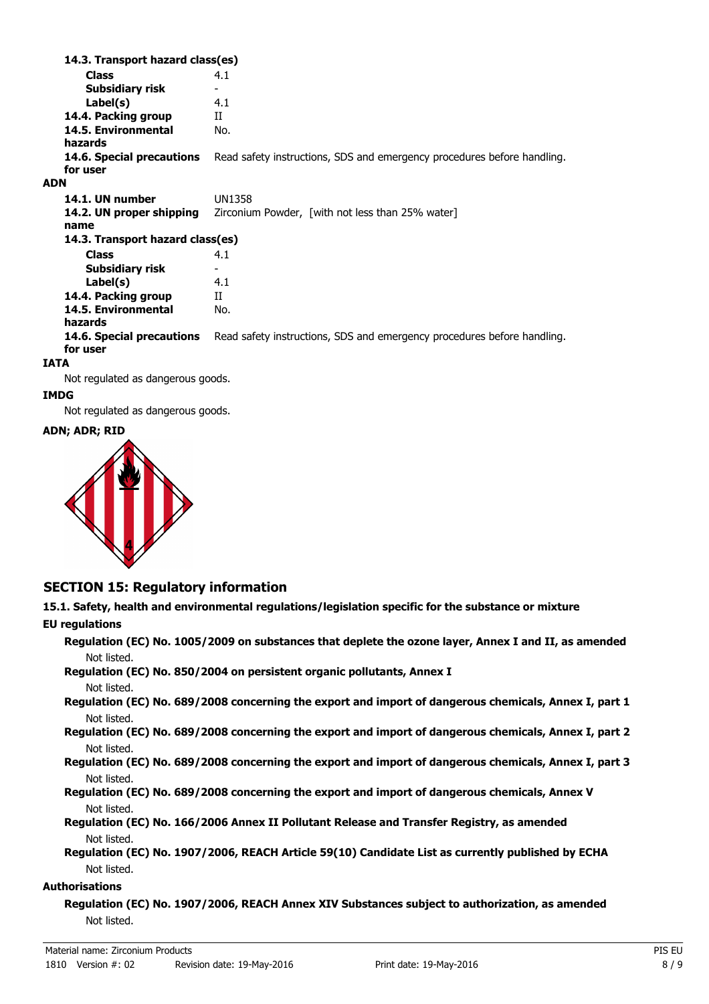**Class** 4.1 **14.3. Transport hazard class(es) Subsidiary risk Label(s)** 4.1 **14.4. Packing group** II **14.5. Environmental** No. **hazards 14.6. Special precautions** Read safety instructions, SDS and emergency procedures before handling. **for user ADN 14.1. UN number** UN1358 **14.2. UN proper shipping** Zirconium Powder, [with not less than 25% water] **name Class** 4.1 **14.3. Transport hazard class(es) Subsidiary risk Label(s)** 4.1 **14.4. Packing group** II **14.5. Environmental** No. **hazards 14.6. Special precautions** Read safety instructions, SDS and emergency procedures before handling. **for user IATA**

Not regulated as dangerous goods.

### **IMDG**

Not regulated as dangerous goods.

#### **ADN; ADR; RID**



# **SECTION 15: Regulatory information**

**15.1. Safety, health and environmental regulations/legislation specific for the substance or mixture EU regulations**

**Regulation (EC) No. 1005/2009 on substances that deplete the ozone layer, Annex I and II, as amended** Not listed.

**Regulation (EC) No. 850/2004 on persistent organic pollutants, Annex I** Not listed.

**Regulation (EC) No. 689/2008 concerning the export and import of dangerous chemicals, Annex I, part 1** Not listed.

**Regulation (EC) No. 689/2008 concerning the export and import of dangerous chemicals, Annex I, part 2** Not listed.

**Regulation (EC) No. 689/2008 concerning the export and import of dangerous chemicals, Annex I, part 3** Not listed.

**Regulation (EC) No. 689/2008 concerning the export and import of dangerous chemicals, Annex V** Not listed.

**Regulation (EC) No. 166/2006 Annex II Pollutant Release and Transfer Registry, as amended** Not listed.

**Regulation (EC) No. 1907/2006, REACH Article 59(10) Candidate List as currently published by ECHA** Not listed.

#### **Authorisations**

**Regulation (EC) No. 1907/2006, REACH Annex XIV Substances subject to authorization, as amended** Not listed.